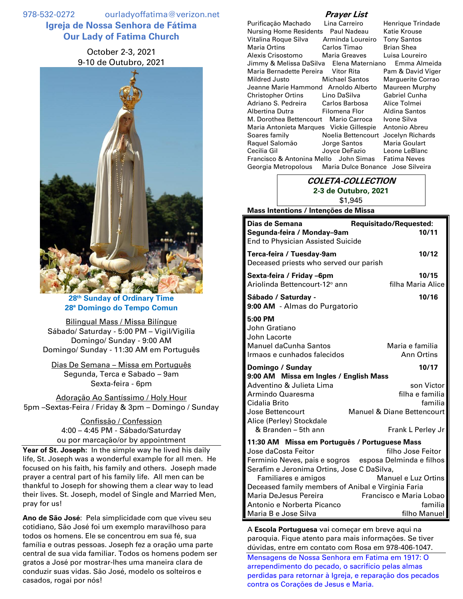978-532-0272 ourladyoffatima@verizon.net **Igreja de Nossa Senhora de Fátima Our Lady of Fatima Church**

# October 2-3, 2021 9-10 de Outubro, 2021



**28 th Sunday of Ordinary Time 28ª Domingo do Tempo Comun**

Bilingual Mass / Missa Bilíngue Sábado/ Saturday - 5:00 PM – Vigil/Vigília Domingo/ Sunday - 9:00 AM Domingo/ Sunday - 11:30 AM em Português

Dias De Semana – Missa em Português Segunda, Terca e Sabado – 9am Sexta-feira - 6pm

Adoração Ao Santíssimo / Holy Hour 5pm –Sextas-Feira / Friday & 3pm – Domingo / Sunday

> Confissão / Confession 4:00 – 4:45 PM - Sábado/Saturday ou por marcação/or by appointment

**Year of St. Joseph:** In the simple way he lived his daily life, St. Joseph was a wonderful example for all men. He focused on his faith, his family and others. Joseph made prayer a central part of his family life. All men can be thankful to Joseph for showing them a clear way to lead their lives. St. Joseph, model of Single and Married Men, pray for us!

**Ano de São José**: Pela simplicidade com que viveu seu cotidiano, São José foi um exemplo maravilhoso para todos os homens. Ele se concentrou em sua fé, sua família e outras pessoas. Joseph fez a oração uma parte central de sua vida familiar. Todos os homens podem ser gratos a José por mostrar-lhes uma maneira clara de conduzir suas vidas. São José, modelo os solteiros e casados, rogai por nós!

## **Prayer List**

| Purificação Machado                        | Lina Carreiro                     | Henrique Trindade    |
|--------------------------------------------|-----------------------------------|----------------------|
| Nursing Home Residents                     | Paul Nadeau                       | Katie Krouse         |
| Vitalina Roque Silva                       | Arminda Loureiro                  | <b>Tony Santos</b>   |
| Maria Ortins                               | Carlos Timao                      | Brian Shea           |
| Alexis Crisostomo                          | Maria Greaves                     | Luisa Loureiro       |
| Jimmy & Melissa DaSilva                    | Elena Materniano                  | Emma Almeida         |
| Maria Bernadette Pereira Vitor Rita        |                                   | Pam & David Viger    |
| Mildred Justo                              | Michael Santos                    | Marguerite Corrao    |
| Jeanne Marie Hammond Arnoldo Alberto       |                                   | Maureen Murphy       |
| Christopher Ortins                         | Lino DaSilva                      | Gabriel Cunha        |
| Adriano S. Pedreira         Carlos Barbosa |                                   | Alice Tolmei         |
| Albertina Dutra                            | Filomena Flor                     | <b>Aldina Santos</b> |
| M. Dorothea Bettencourt                    | Mario Carroca                     | Ivone Silva          |
| Maria Antonieta Marques Vickie Gillespie   |                                   | Antonio Abreu        |
| Soares family                              | Noelia Bettencourt                | Jocelyn Richards     |
| Raguel Salomão                             | Jorge Santos                      | Maria Goulart        |
| Cecilia Gil                                | Joyce DeFazio                     | Leone LeBlanc        |
| Francisco & Antonina Mello John Simas      |                                   | Fatima Neves         |
| Georgia Metropolous                        | Maria Dulce Bonance Jose Silveira |                      |

### **COLETA-COLLECTION 2-3 de Outubro, 2021** \$1,945

#### **Mass Intentions / Intenções de Missa**

| Dias de Semana                                                                                     | Requisitado/Requested:               |  |
|----------------------------------------------------------------------------------------------------|--------------------------------------|--|
| Segunda-feira / Monday-9am<br><b>End to Physician Assisted Suicide</b>                             | 10/11                                |  |
| Terca-feira / Tuesday-9am<br>Deceased priests who served our parish                                | 10/12                                |  |
| Sexta-feira / Friday -6pm<br>Ariolinda Bettencourt-12° ann                                         | 10/15<br>filha Maria Alice           |  |
| Sábado / Saturday -<br>9:00 AM - Almas do Purgatorio                                               | 10/16                                |  |
| $5:00$ PM<br>John Gratiano<br>John Lacorte<br>Manuel daCunha Santos<br>Irmaos e cunhados falecidos | Maria e familia<br><b>Ann Ortins</b> |  |
| Domingo / Sunday                                                                                   | 10/17                                |  |
| 9:00 AM Missa em Ingles / English Mass                                                             |                                      |  |
| Adventino & Julieta Lima                                                                           | son Victor                           |  |
| Armindo Quaresma                                                                                   | filha e familia                      |  |
| Cidalia Brito                                                                                      | familia                              |  |
| Jose Bettencourt<br>Alice (Perley) Stockdale                                                       | Manuel & Diane Bettencourt           |  |
| & Branden - 5th ann                                                                                | Frank L Perley Jr                    |  |
| 11:30 AM Missa em Português / Portuguese Mass                                                      |                                      |  |
| Jose daCosta Feitor                                                                                | filho Jose Feitor                    |  |
| Ferminio Neves, pais e sogros                                                                      | esposa Delminda e filhos             |  |
| Serafim e Jeronima Ortins, Jose C DaSilva,                                                         |                                      |  |
| Familiares e amigos<br>Manuel e Luz Ortins                                                         |                                      |  |
| Deceased family members of Anibal e Virginia Faria                                                 |                                      |  |
| Maria DeJesus Pereira<br>Francisco e Maria Lobao                                                   |                                      |  |
| Antonio e Norberta Picanco                                                                         | familia                              |  |
| Maria B e Jose Silva                                                                               | filho Manuel                         |  |

A **Escola Portuguesa** vai começar em breve aqui na paroquia. Fique atento para mais informações. Se tiver dúvidas, entre em contato com Rosa em 978-406-1047. Mensagens de Nossa Senhora em Fatima em 1917: O arrependimento do pecado, o sacrifício pelas almas perdidas para retornar à Igreja, e reparação dos pecados contra os Corações de Jesus e Maria.